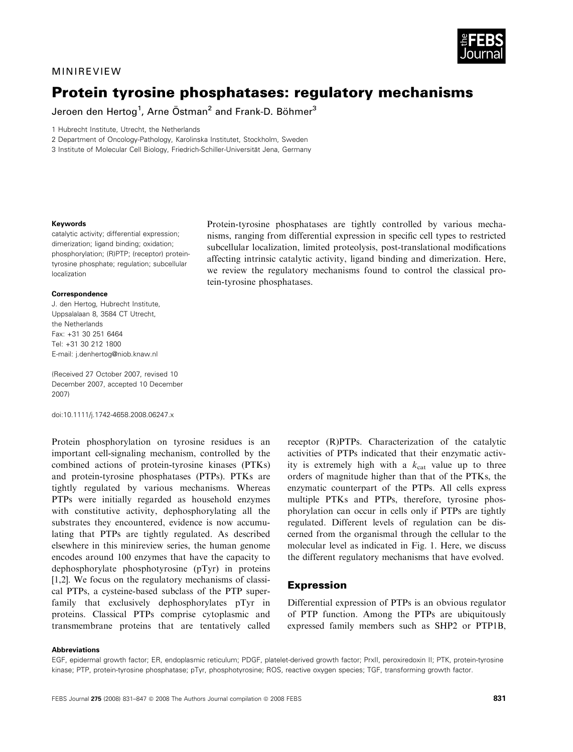## MINIREVIEW

# Protein tyrosine phosphatases: regulatory mechanisms

Jeroen den Hertog<sup>1</sup>, Arne Östman<sup>2</sup> and Frank-D. Böhmer<sup>3</sup>

1 Hubrecht Institute, Utrecht, the Netherlands

2 Department of Oncology-Pathology, Karolinska Institutet, Stockholm, Sweden

3 Institute of Molecular Cell Biology, Friedrich-Schiller-Universität Jena, Germany

#### Keywords

catalytic activity; differential expression; dimerization; ligand binding; oxidation; phosphorylation; (R)PTP; (receptor) proteintyrosine phosphate; regulation; subcellular localization

#### **Correspondence**

J. den Hertog, Hubrecht Institute, Uppsalalaan 8, 3584 CT Utrecht, the Netherlands Fax: +31 30 251 6464 Tel: +31 30 212 1800 E-mail: j.denhertog@niob.knaw.nl

(Received 27 October 2007, revised 10 December 2007, accepted 10 December 2007)

doi:10.1111/j.1742-4658.2008.06247.x

Protein phosphorylation on tyrosine residues is an important cell-signaling mechanism, controlled by the combined actions of protein-tyrosine kinases (PTKs) and protein-tyrosine phosphatases (PTPs). PTKs are tightly regulated by various mechanisms. Whereas PTPs were initially regarded as household enzymes with constitutive activity, dephosphorylating all the substrates they encountered, evidence is now accumulating that PTPs are tightly regulated. As described elsewhere in this minireview series, the human genome encodes around 100 enzymes that have the capacity to dephosphorylate phosphotyrosine (pTyr) in proteins [1,2]. We focus on the regulatory mechanisms of classical PTPs, a cysteine-based subclass of the PTP superfamily that exclusively dephosphorylates pTyr in proteins. Classical PTPs comprise cytoplasmic and transmembrane proteins that are tentatively called

Protein-tyrosine phosphatases are tightly controlled by various mechanisms, ranging from differential expression in specific cell types to restricted subcellular localization, limited proteolysis, post-translational modifications affecting intrinsic catalytic activity, ligand binding and dimerization. Here, we review the regulatory mechanisms found to control the classical protein-tyrosine phosphatases.

> receptor (R)PTPs. Characterization of the catalytic activities of PTPs indicated that their enzymatic activity is extremely high with a  $k_{cat}$  value up to three orders of magnitude higher than that of the PTKs, the enzymatic counterpart of the PTPs. All cells express multiple PTKs and PTPs, therefore, tyrosine phosphorylation can occur in cells only if PTPs are tightly regulated. Different levels of regulation can be discerned from the organismal through the cellular to the molecular level as indicated in Fig. 1. Here, we discuss the different regulatory mechanisms that have evolved.

#### Expression

Differential expression of PTPs is an obvious regulator of PTP function. Among the PTPs are ubiquitously expressed family members such as SHP2 or PTP1B,

#### Abbreviations

EGF, epidermal growth factor; ER, endoplasmic reticulum; PDGF, platelet-derived growth factor; PrxII, peroxiredoxin II; PTK, protein-tyrosine kinase; PTP, protein-tyrosine phosphatase; pTyr, phosphotyrosine; ROS, reactive oxygen species; TGF, transforming growth factor.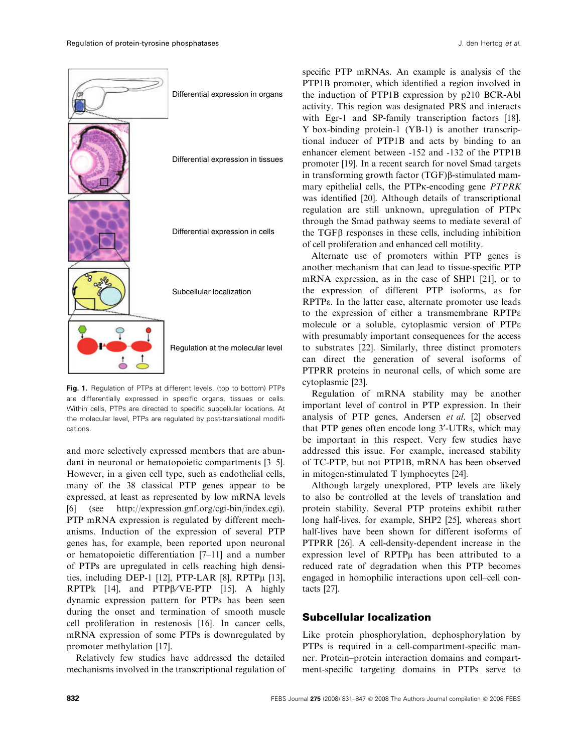

Fig. 1. Regulation of PTPs at different levels. (top to bottom) PTPs are differentially expressed in specific organs, tissues or cells. Within cells, PTPs are directed to specific subcellular locations. At the molecular level, PTPs are regulated by post-translational modifications.

and more selectively expressed members that are abundant in neuronal or hematopoietic compartments [3–5]. However, in a given cell type, such as endothelial cells, many of the 38 classical PTP genes appear to be expressed, at least as represented by low mRNA levels [6] (see http://expression.gnf.org/cgi-bin/index.cgi). PTP mRNA expression is regulated by different mechanisms. Induction of the expression of several PTP genes has, for example, been reported upon neuronal or hematopoietic differentiation [7–11] and a number of PTPs are upregulated in cells reaching high densities, including DEP-1 [12], PTP-LAR [8], RPTP $\mu$  [13], RPTPk [14], and PTP $\beta$ /VE-PTP [15]. A highly dynamic expression pattern for PTPs has been seen during the onset and termination of smooth muscle cell proliferation in restenosis [16]. In cancer cells, mRNA expression of some PTPs is downregulated by promoter methylation [17].

Relatively few studies have addressed the detailed mechanisms involved in the transcriptional regulation of specific PTP mRNAs. An example is analysis of the PTP1B promoter, which identified a region involved in the induction of PTP1B expression by p210 BCR-Abl activity. This region was designated PRS and interacts with Egr-1 and SP-family transcription factors [18]. Y box-binding protein-1 (YB-1) is another transcriptional inducer of PTP1B and acts by binding to an enhancer element between -152 and -132 of the PTP1B promoter [19]. In a recent search for novel Smad targets in transforming growth factor  $(TGF)\beta$ -stimulated mammary epithelial cells, the PTP $\kappa$ -encoding gene *PTPRK* was identified [20]. Although details of transcriptional regulation are still unknown, upregulation of  $PTP<sub>K</sub>$ through the Smad pathway seems to mediate several of the TGFb responses in these cells, including inhibition of cell proliferation and enhanced cell motility.

Alternate use of promoters within PTP genes is another mechanism that can lead to tissue-specific PTP mRNA expression, as in the case of SHP1 [21], or to the expression of different PTP isoforms, as for RPTPe. In the latter case, alternate promoter use leads to the expression of either a transmembrane RPTP $\epsilon$ molecule or a soluble, cytoplasmic version of PTPe with presumably important consequences for the access to substrates [22]. Similarly, three distinct promoters can direct the generation of several isoforms of PTPRR proteins in neuronal cells, of which some are cytoplasmic [23].

Regulation of mRNA stability may be another important level of control in PTP expression. In their analysis of PTP genes, Andersen et al. [2] observed that PTP genes often encode long 3¢-UTRs, which may be important in this respect. Very few studies have addressed this issue. For example, increased stability of TC-PTP, but not PTP1B, mRNA has been observed in mitogen-stimulated T lymphocytes [24].

Although largely unexplored, PTP levels are likely to also be controlled at the levels of translation and protein stability. Several PTP proteins exhibit rather long half-lives, for example, SHP2 [25], whereas short half-lives have been shown for different isoforms of PTPRR [26]. A cell-density-dependent increase in the expression level of RPTP<sub>µ</sub> has been attributed to a reduced rate of degradation when this PTP becomes engaged in homophilic interactions upon cell–cell contacts [27].

#### Subcellular localization

Like protein phosphorylation, dephosphorylation by PTPs is required in a cell-compartment-specific manner. Protein–protein interaction domains and compartment-specific targeting domains in PTPs serve to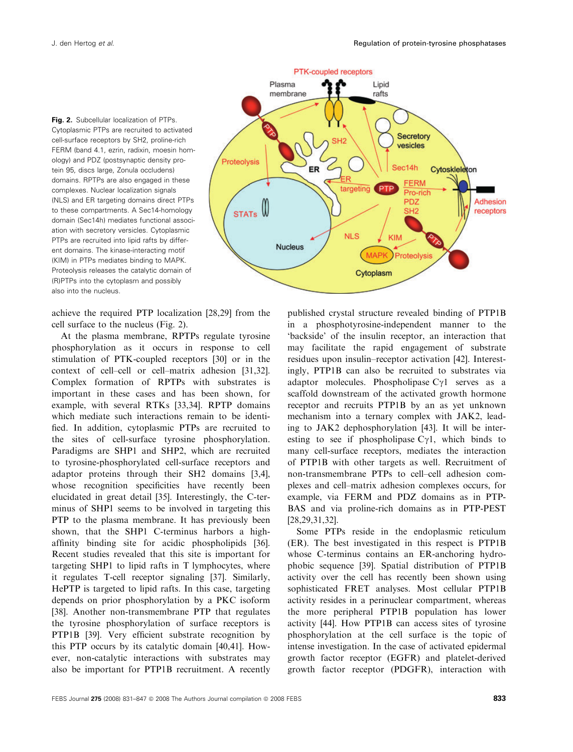

achieve the required PTP localization [28,29] from the cell surface to the nucleus (Fig. 2).

At the plasma membrane, RPTPs regulate tyrosine phosphorylation as it occurs in response to cell stimulation of PTK-coupled receptors [30] or in the context of cell–cell or cell–matrix adhesion [31,32]. Complex formation of RPTPs with substrates is important in these cases and has been shown, for example, with several RTKs [33,34]. RPTP domains which mediate such interactions remain to be identified. In addition, cytoplasmic PTPs are recruited to the sites of cell-surface tyrosine phosphorylation. Paradigms are SHP1 and SHP2, which are recruited to tyrosine-phosphorylated cell-surface receptors and adaptor proteins through their SH2 domains [3,4], whose recognition specificities have recently been elucidated in great detail [35]. Interestingly, the C-terminus of SHP1 seems to be involved in targeting this PTP to the plasma membrane. It has previously been shown, that the SHP1 C-terminus harbors a highaffinity binding site for acidic phospholipids [36]. Recent studies revealed that this site is important for targeting SHP1 to lipid rafts in T lymphocytes, where it regulates T-cell receptor signaling [37]. Similarly, HePTP is targeted to lipid rafts. In this case, targeting depends on prior phosphorylation by a PKC isoform [38]. Another non-transmembrane PTP that regulates the tyrosine phosphorylation of surface receptors is PTP1B [39]. Very efficient substrate recognition by this PTP occurs by its catalytic domain [40,41]. However, non-catalytic interactions with substrates may also be important for PTP1B recruitment. A recently



published crystal structure revealed binding of PTP1B in a phosphotyrosine-independent manner to the 'backside' of the insulin receptor, an interaction that may facilitate the rapid engagement of substrate residues upon insulin–receptor activation [42]. Interestingly, PTP1B can also be recruited to substrates via adaptor molecules. Phospholipase  $C_{\gamma}$ 1 serves as a scaffold downstream of the activated growth hormone receptor and recruits PTP1B by an as yet unknown mechanism into a ternary complex with JAK2, leading to JAK2 dephosphorylation [43]. It will be interesting to see if phospholipase  $C_{\gamma}1$ , which binds to many cell-surface receptors, mediates the interaction of PTP1B with other targets as well. Recruitment of non-transmembrane PTPs to cell–cell adhesion complexes and cell–matrix adhesion complexes occurs, for example, via FERM and PDZ domains as in PTP-BAS and via proline-rich domains as in PTP-PEST [28,29,31,32].

Some PTPs reside in the endoplasmic reticulum (ER). The best investigated in this respect is PTP1B whose C-terminus contains an ER-anchoring hydrophobic sequence [39]. Spatial distribution of PTP1B activity over the cell has recently been shown using sophisticated FRET analyses. Most cellular PTP1B activity resides in a perinuclear compartment, whereas the more peripheral PTP1B population has lower activity [44]. How PTP1B can access sites of tyrosine phosphorylation at the cell surface is the topic of intense investigation. In the case of activated epidermal growth factor receptor (EGFR) and platelet-derived growth factor receptor (PDGFR), interaction with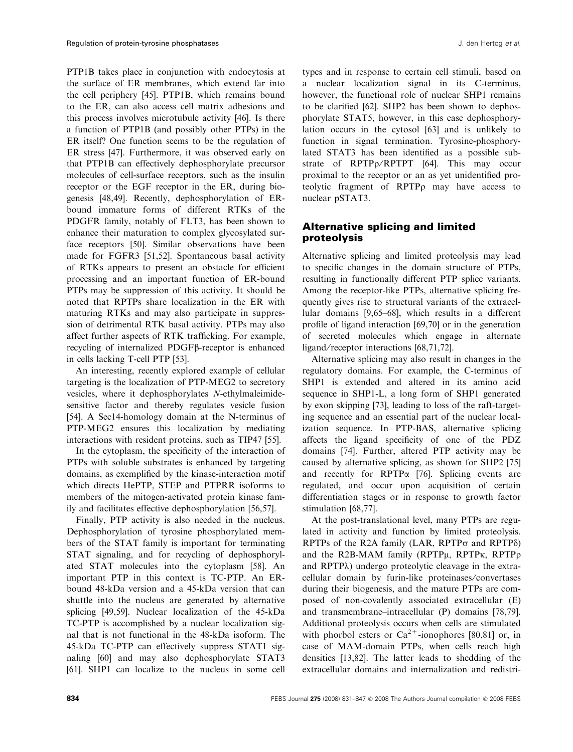PTP1B takes place in conjunction with endocytosis at the surface of ER membranes, which extend far into the cell periphery [45]. PTP1B, which remains bound to the ER, can also access cell–matrix adhesions and this process involves microtubule activity [46]. Is there a function of PTP1B (and possibly other PTPs) in the ER itself? One function seems to be the regulation of ER stress [47]. Furthermore, it was observed early on that PTP1B can effectively dephosphorylate precursor molecules of cell-surface receptors, such as the insulin receptor or the EGF receptor in the ER, during biogenesis [48,49]. Recently, dephosphorylation of ERbound immature forms of different RTKs of the PDGFR family, notably of FLT3, has been shown to enhance their maturation to complex glycosylated surface receptors [50]. Similar observations have been made for FGFR3 [51,52]. Spontaneous basal activity of RTKs appears to present an obstacle for efficient processing and an important function of ER-bound PTPs may be suppression of this activity. It should be noted that RPTPs share localization in the ER with maturing RTKs and may also participate in suppression of detrimental RTK basal activity. PTPs may also affect further aspects of RTK trafficking. For example, recycling of internalized PDGFb-receptor is enhanced in cells lacking T-cell PTP [53].

An interesting, recently explored example of cellular targeting is the localization of PTP-MEG2 to secretory vesicles, where it dephosphorylates N-ethylmaleimidesensitive factor and thereby regulates vesicle fusion [54]. A Sec14-homology domain at the N-terminus of PTP-MEG2 ensures this localization by mediating interactions with resident proteins, such as TIP47 [55].

In the cytoplasm, the specificity of the interaction of PTPs with soluble substrates is enhanced by targeting domains, as exemplified by the kinase-interaction motif which directs HePTP, STEP and PTPRR isoforms to members of the mitogen-activated protein kinase family and facilitates effective dephosphorylation [56,57].

Finally, PTP activity is also needed in the nucleus. Dephosphorylation of tyrosine phosphorylated members of the STAT family is important for terminating STAT signaling, and for recycling of dephosphorylated STAT molecules into the cytoplasm [58]. An important PTP in this context is TC-PTP. An ERbound 48-kDa version and a 45-kDa version that can shuttle into the nucleus are generated by alternative splicing [49,59]. Nuclear localization of the 45-kDa TC-PTP is accomplished by a nuclear localization signal that is not functional in the 48-kDa isoform. The 45-kDa TC-PTP can effectively suppress STAT1 signaling [60] and may also dephosphorylate STAT3 [61]. SHP1 can localize to the nucleus in some cell

types and in response to certain cell stimuli, based on a nuclear localization signal in its C-terminus, however, the functional role of nuclear SHP1 remains to be clarified [62]. SHP2 has been shown to dephosphorylate STAT5, however, in this case dephosphorylation occurs in the cytosol [63] and is unlikely to function in signal termination. Tyrosine-phosphorylated STAT3 has been identified as a possible substrate of  $RPTP\rho / RPTPT$  [64]. This may occur proximal to the receptor or an as yet unidentified proteolytic fragment of RPTPq may have access to nuclear pSTAT3.

## Alternative splicing and limited proteolysis

Alternative splicing and limited proteolysis may lead to specific changes in the domain structure of PTPs, resulting in functionally different PTP splice variants. Among the receptor-like PTPs, alternative splicing frequently gives rise to structural variants of the extracellular domains [9,65–68], which results in a different profile of ligand interaction [69,70] or in the generation of secreted molecules which engage in alternate ligand ⁄receptor interactions [68,71,72].

Alternative splicing may also result in changes in the regulatory domains. For example, the C-terminus of SHP1 is extended and altered in its amino acid sequence in SHP1-L, a long form of SHP1 generated by exon skipping [73], leading to loss of the raft-targeting sequence and an essential part of the nuclear localization sequence. In PTP-BAS, alternative splicing affects the ligand specificity of one of the PDZ domains [74]. Further, altered PTP activity may be caused by alternative splicing, as shown for SHP2 [75] and recently for RPTP $\alpha$  [76]. Splicing events are regulated, and occur upon acquisition of certain differentiation stages or in response to growth factor stimulation [68,77].

At the post-translational level, many PTPs are regulated in activity and function by limited proteolysis. RPTPs of the R2A family (LAR, RPTP $\sigma$  and RPTP $\delta$ ) and the R2B-MAM family (RPTP $\mu$ , RPTP $\kappa$ , RPTP $\rho$ and RPTP $\lambda$ ) undergo proteolytic cleavage in the extracellular domain by furin-like proteinases⁄ convertases during their biogenesis, and the mature PTPs are composed of non-covalently associated extracellular (E) and transmembrane–intracellular (P) domains [78,79]. Additional proteolysis occurs when cells are stimulated with phorbol esters or  $Ca^{2+}$ -ionophores [80,81] or, in case of MAM-domain PTPs, when cells reach high densities [13,82]. The latter leads to shedding of the extracellular domains and internalization and redistri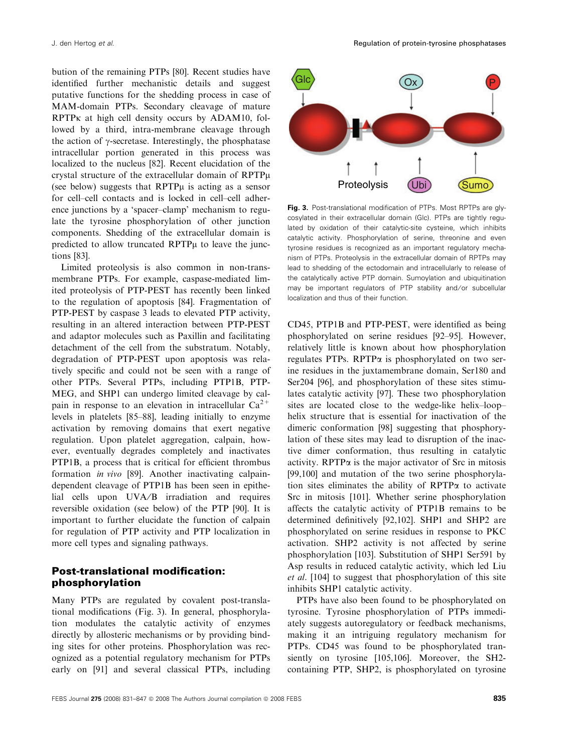bution of the remaining PTPs [80]. Recent studies have identified further mechanistic details and suggest putative functions for the shedding process in case of MAM-domain PTPs. Secondary cleavage of mature  $RPTPK$  at high cell density occurs by ADAM10, followed by a third, intra-membrane cleavage through the action of  $\gamma$ -secretase. Interestingly, the phosphatase intracellular portion generated in this process was localized to the nucleus [82]. Recent elucidation of the crystal structure of the extracellular domain of RPTPu (see below) suggests that  $RPTP\mu$  is acting as a sensor for cell–cell contacts and is locked in cell–cell adherence junctions by a 'spacer–clamp' mechanism to regulate the tyrosine phosphorylation of other junction components. Shedding of the extracellular domain is predicted to allow truncated  $RPTP\mu$  to leave the junctions [83].

Limited proteolysis is also common in non-transmembrane PTPs. For example, caspase-mediated limited proteolysis of PTP-PEST has recently been linked to the regulation of apoptosis [84]. Fragmentation of PTP-PEST by caspase 3 leads to elevated PTP activity, resulting in an altered interaction between PTP-PEST and adaptor molecules such as Paxillin and facilitating detachment of the cell from the substratum. Notably, degradation of PTP-PEST upon apoptosis was relatively specific and could not be seen with a range of other PTPs. Several PTPs, including PTP1B, PTP-MEG, and SHP1 can undergo limited cleavage by calpain in response to an elevation in intracellular  $Ca^{2+}$ levels in platelets [85–88], leading initially to enzyme activation by removing domains that exert negative regulation. Upon platelet aggregation, calpain, however, eventually degrades completely and inactivates PTP1B, a process that is critical for efficient thrombus formation in vivo [89]. Another inactivating calpaindependent cleavage of PTP1B has been seen in epithelial cells upon UVA⁄B irradiation and requires reversible oxidation (see below) of the PTP [90]. It is important to further elucidate the function of calpain for regulation of PTP activity and PTP localization in more cell types and signaling pathways.

#### Post-translational modification: phosphorylation

Many PTPs are regulated by covalent post-translational modifications (Fig. 3). In general, phosphorylation modulates the catalytic activity of enzymes directly by allosteric mechanisms or by providing binding sites for other proteins. Phosphorylation was recognized as a potential regulatory mechanism for PTPs early on [91] and several classical PTPs, including



Fig. 3. Post-translational modification of PTPs. Most RPTPs are glycosylated in their extracellular domain (Glc). PTPs are tightly regulated by oxidation of their catalytic-site cysteine, which inhibits catalytic activity. Phosphorylation of serine, threonine and even tyrosine residues is recognized as an important regulatory mechanism of PTPs. Proteolysis in the extracellular domain of RPTPs may lead to shedding of the ectodomain and intracellularly to release of the catalytically active PTP domain. Sumoylation and ubiquitination may be important regulators of PTP stability and/or subcellular localization and thus of their function.

CD45, PTP1B and PTP-PEST, were identified as being phosphorylated on serine residues [92–95]. However, relatively little is known about how phosphorylation regulates PTPs. RPTPa is phosphorylated on two serine residues in the juxtamembrane domain, Ser180 and Ser204 [96], and phosphorylation of these sites stimulates catalytic activity [97]. These two phosphorylation sites are located close to the wedge-like helix–loop– helix structure that is essential for inactivation of the dimeric conformation [98] suggesting that phosphorylation of these sites may lead to disruption of the inactive dimer conformation, thus resulting in catalytic activity.  $RPTP\alpha$  is the major activator of Src in mitosis [99,100] and mutation of the two serine phosphorylation sites eliminates the ability of  $RPTP\alpha$  to activate Src in mitosis [101]. Whether serine phosphorylation affects the catalytic activity of PTP1B remains to be determined definitively [92,102]. SHP1 and SHP2 are phosphorylated on serine residues in response to PKC activation. SHP2 activity is not affected by serine phosphorylation [103]. Substitution of SHP1 Ser591 by Asp results in reduced catalytic activity, which led Liu et al. [104] to suggest that phosphorylation of this site inhibits SHP1 catalytic activity.

PTPs have also been found to be phosphorylated on tyrosine. Tyrosine phosphorylation of PTPs immediately suggests autoregulatory or feedback mechanisms, making it an intriguing regulatory mechanism for PTPs. CD45 was found to be phosphorylated transiently on tyrosine [105,106]. Moreover, the SH2 containing PTP, SHP2, is phosphorylated on tyrosine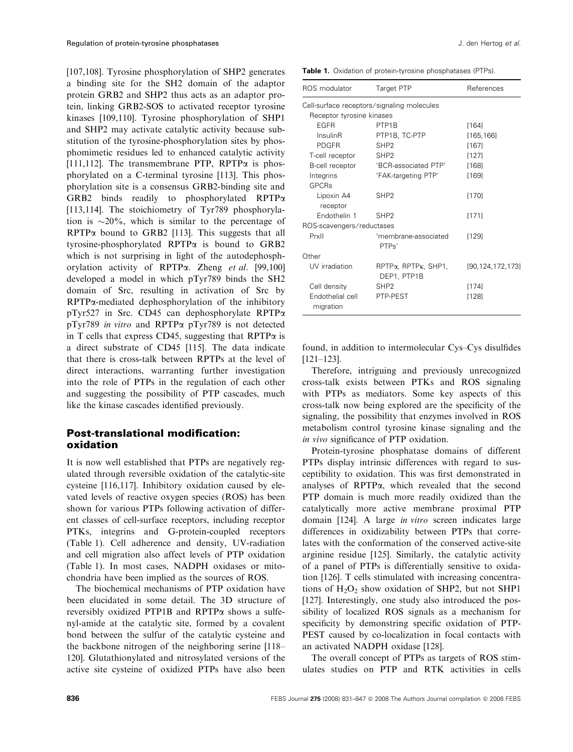[107,108]. Tyrosine phosphorylation of SHP2 generates a binding site for the SH2 domain of the adaptor protein GRB2 and SHP2 thus acts as an adaptor protein, linking GRB2-SOS to activated receptor tyrosine kinases [109,110]. Tyrosine phosphorylation of SHP1 and SHP2 may activate catalytic activity because substitution of the tyrosine-phosphorylation sites by phosphomimetic residues led to enhanced catalytic activity [111,112]. The transmembrane PTP,  $RPTP\alpha$  is phosphorylated on a C-terminal tyrosine [113]. This phosphorylation site is a consensus GRB2-binding site and GRB2 binds readily to phosphorylated RPTPa [113,114]. The stoichiometry of Tyr789 phosphorylation is  $\sim$ 20%, which is similar to the percentage of  $RPTP\alpha$  bound to GRB2 [113]. This suggests that all tyrosine-phosphorylated RPTPa is bound to GRB2 which is not surprising in light of the autodephosphorylation activity of RPTP $\alpha$ . Zheng et al. [99,100] developed a model in which pTyr789 binds the SH2 domain of Src, resulting in activation of Src by RPTPa-mediated dephosphorylation of the inhibitory pTyr527 in Src. CD45 can dephosphorylate RPTPa pTyr789 in vitro and RPTPa pTyr789 is not detected in T cells that express CD45, suggesting that RPTP $\alpha$  is a direct substrate of CD45 [115]. The data indicate that there is cross-talk between RPTPs at the level of direct interactions, warranting further investigation into the role of PTPs in the regulation of each other and suggesting the possibility of PTP cascades, much like the kinase cascades identified previously.

## Post-translational modification: oxidation

It is now well established that PTPs are negatively regulated through reversible oxidation of the catalytic-site cysteine [116,117]. Inhibitory oxidation caused by elevated levels of reactive oxygen species (ROS) has been shown for various PTPs following activation of different classes of cell-surface receptors, including receptor PTKs, integrins and G-protein-coupled receptors (Table 1). Cell adherence and density, UV-radiation and cell migration also affect levels of PTP oxidation (Table 1). In most cases, NADPH oxidases or mitochondria have been implied as the sources of ROS.

The biochemical mechanisms of PTP oxidation have been elucidated in some detail. The 3D structure of reversibly oxidized PTP1B and  $RPTP\alpha$  shows a sulfenyl-amide at the catalytic site, formed by a covalent bond between the sulfur of the catalytic cysteine and the backbone nitrogen of the neighboring serine [118– 120]. Glutathionylated and nitrosylated versions of the active site cysteine of oxidized PTPs have also been

Table 1. Oxidation of protein-tyrosine phosphatases (PTPs).

| ROS modulator                              | Target PTP                                 | References          |  |  |  |  |  |  |
|--------------------------------------------|--------------------------------------------|---------------------|--|--|--|--|--|--|
| Cell-surface receptors/signaling molecules |                                            |                     |  |  |  |  |  |  |
| Receptor tyrosine kinases                  |                                            |                     |  |  |  |  |  |  |
| <b>FGFR</b>                                | PTP <sub>1</sub> R                         | [164]               |  |  |  |  |  |  |
| <b>InsulinR</b>                            | PTP1B, TC-PTP                              | [165, 166]          |  |  |  |  |  |  |
| <b>PDGFR</b>                               | SHP <sub>2</sub>                           | [167]               |  |  |  |  |  |  |
| T-cell receptor                            | SHP <sub>2</sub>                           | [127]               |  |  |  |  |  |  |
| B-cell receptor                            | 'BCR-associated PTP'                       | [168]               |  |  |  |  |  |  |
| Integrins                                  | 'FAK-targeting PTP'                        | [169]               |  |  |  |  |  |  |
| <b>GPCRs</b>                               |                                            |                     |  |  |  |  |  |  |
| Lipoxin A4                                 | SHP <sub>2</sub>                           | [170]               |  |  |  |  |  |  |
| receptor                                   |                                            |                     |  |  |  |  |  |  |
| Endothelin 1                               | SHP <sub>2</sub>                           | 11711               |  |  |  |  |  |  |
| ROS-scavengers/reductases                  |                                            |                     |  |  |  |  |  |  |
| PrxII                                      | 'membrane-associated<br>PTP <sub>s</sub> ' | [129]               |  |  |  |  |  |  |
| Other                                      |                                            |                     |  |  |  |  |  |  |
| UV irradiation                             | RPTPα, RPTPκ, SHP1,<br>DEP1, PTP1B         | [90, 124, 172, 173] |  |  |  |  |  |  |
| Cell density                               | SHP <sub>2</sub>                           | [174]               |  |  |  |  |  |  |
| Endothelial cell<br>migration              | PTP-PEST                                   | [128]               |  |  |  |  |  |  |

found, in addition to intermolecular Cys–Cys disulfides [121–123].

Therefore, intriguing and previously unrecognized cross-talk exists between PTKs and ROS signaling with PTPs as mediators. Some key aspects of this cross-talk now being explored are the specificity of the signaling, the possibility that enzymes involved in ROS metabolism control tyrosine kinase signaling and the in vivo significance of PTP oxidation.

Protein-tyrosine phosphatase domains of different PTPs display intrinsic differences with regard to susceptibility to oxidation. This was first demonstrated in analyses of RPTPa, which revealed that the second PTP domain is much more readily oxidized than the catalytically more active membrane proximal PTP domain [124]. A large in vitro screen indicates large differences in oxidizability between PTPs that correlates with the conformation of the conserved active-site arginine residue [125]. Similarly, the catalytic activity of a panel of PTPs is differentially sensitive to oxidation [126]. T cells stimulated with increasing concentrations of  $H_2O_2$  show oxidation of SHP2, but not SHP1 [127]. Interestingly, one study also introduced the possibility of localized ROS signals as a mechanism for specificity by demonstring specific oxidation of PTP-PEST caused by co-localization in focal contacts with an activated NADPH oxidase [128].

The overall concept of PTPs as targets of ROS stimulates studies on PTP and RTK activities in cells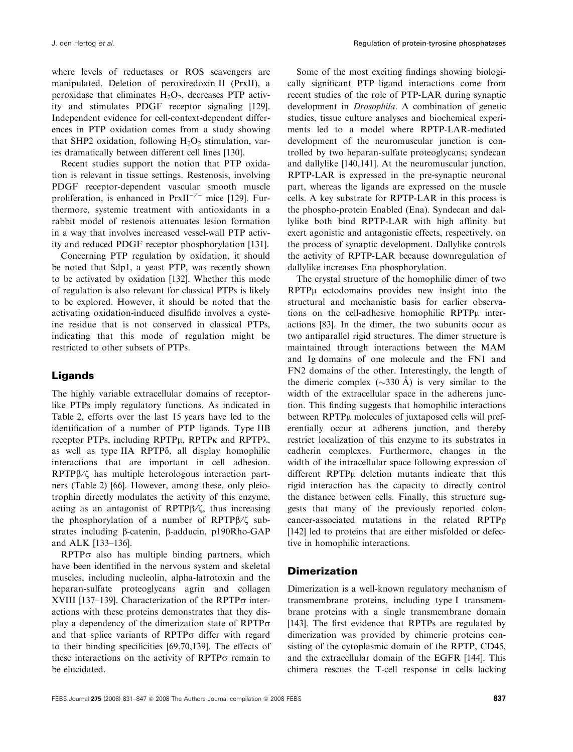where levels of reductases or ROS scavengers are manipulated. Deletion of peroxiredoxin II (PrxII), a peroxidase that eliminates  $H_2O_2$ , decreases PTP activity and stimulates PDGF receptor signaling [129]. Independent evidence for cell-context-dependent differences in PTP oxidation comes from a study showing that SHP2 oxidation, following  $H_2O_2$  stimulation, varies dramatically between different cell lines [130].

Recent studies support the notion that PTP oxidation is relevant in tissue settings. Restenosis, involving PDGF receptor-dependent vascular smooth muscle proliferation, is enhanced in  $PrxII^{-/-}$  mice [129]. Furthermore, systemic treatment with antioxidants in a rabbit model of restenois attenuates lesion formation in a way that involves increased vessel-wall PTP activity and reduced PDGF receptor phosphorylation [131].

Concerning PTP regulation by oxidation, it should be noted that Sdp1, a yeast PTP, was recently shown to be activated by oxidation [132]. Whether this mode of regulation is also relevant for classical PTPs is likely to be explored. However, it should be noted that the activating oxidation-induced disulfide involves a cysteine residue that is not conserved in classical PTPs, indicating that this mode of regulation might be restricted to other subsets of PTPs.

#### Ligands

The highly variable extracellular domains of receptorlike PTPs imply regulatory functions. As indicated in Table 2, efforts over the last 15 years have led to the identification of a number of PTP ligands. Type IIB receptor PTPs, including  $RPTP\mu$ ,  $RPTP\kappa$  and  $RPTP\lambda$ , as well as type IIA RPTP<sub>o</sub>, all display homophilic interactions that are important in cell adhesion.  $RPTP\beta/\zeta$  has multiple heterologous interaction partners (Table 2) [66]. However, among these, only pleiotrophin directly modulates the activity of this enzyme, acting as an antagonist of RPTP $\beta$ / $\zeta$ , thus increasing the phosphorylation of a number of RPTP $\beta$ / $\zeta$  substrates including  $\beta$ -catenin,  $\beta$ -adducin, p190Rho-GAP and ALK [133–136].

 $RPTP\sigma$  also has multiple binding partners, which have been identified in the nervous system and skeletal muscles, including nucleolin, alpha-latrotoxin and the heparan-sulfate proteoglycans agrin and collagen XVIII [137–139]. Characterization of the RPTP $\sigma$  interactions with these proteins demonstrates that they display a dependency of the dimerization state of  $RPTP\sigma$ and that splice variants of RPTP $\sigma$  differ with regard to their binding specificities [69,70,139]. The effects of these interactions on the activity of  $RPTP\sigma$  remain to be elucidated.

Some of the most exciting findings showing biologically significant PTP–ligand interactions come from recent studies of the role of PTP-LAR during synaptic development in Drosophila. A combination of genetic studies, tissue culture analyses and biochemical experiments led to a model where RPTP-LAR-mediated development of the neuromuscular junction is controlled by two heparan-sulfate proteoglycans; syndecan and dallylike [140,141]. At the neuromuscular junction, RPTP-LAR is expressed in the pre-synaptic neuronal part, whereas the ligands are expressed on the muscle cells. A key substrate for RPTP-LAR in this process is the phospho-protein Enabled (Ena). Syndecan and dallylike both bind RPTP-LAR with high affinity but exert agonistic and antagonistic effects, respectively, on the process of synaptic development. Dallylike controls the activity of RPTP-LAR because downregulation of dallylike increases Ena phosphorylation.

The crystal structure of the homophilic dimer of two RPTP<sub>u</sub> ectodomains provides new insight into the structural and mechanistic basis for earlier observations on the cell-adhesive homophilic RPTPu interactions [83]. In the dimer, the two subunits occur as two antiparallel rigid structures. The dimer structure is maintained through interactions between the MAM and Ig domains of one molecule and the FN1 and FN2 domains of the other. Interestingly, the length of the dimeric complex  $(\sim)330 \text{ Å}$  is very similar to the width of the extracellular space in the adherens junction. This finding suggests that homophilic interactions between RPTP<sub>µ</sub> molecules of juxtaposed cells will preferentially occur at adherens junction, and thereby restrict localization of this enzyme to its substrates in cadherin complexes. Furthermore, changes in the width of the intracellular space following expression of different  $RPTP\mu$  deletion mutants indicate that this rigid interaction has the capacity to directly control the distance between cells. Finally, this structure suggests that many of the previously reported coloncancer-associated mutations in the related RPTPq [142] led to proteins that are either misfolded or defective in homophilic interactions.

#### Dimerization

Dimerization is a well-known regulatory mechanism of transmembrane proteins, including type I transmembrane proteins with a single transmembrane domain [143]. The first evidence that RPTPs are regulated by dimerization was provided by chimeric proteins consisting of the cytoplasmic domain of the RPTP, CD45, and the extracellular domain of the EGFR [144]. This chimera rescues the T-cell response in cells lacking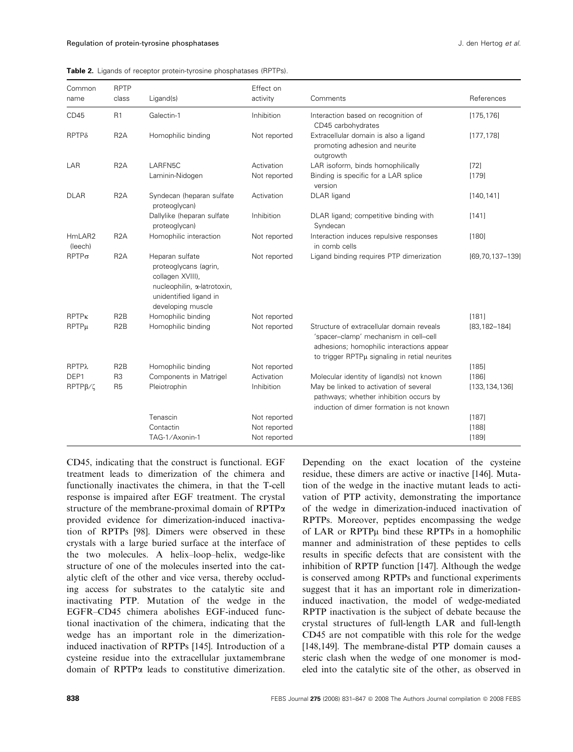|  |  |  | <b>Table 2.</b> Ligands of receptor protein-tyrosine phosphatases (RPTPs). |  |  |
|--|--|--|----------------------------------------------------------------------------|--|--|
|--|--|--|----------------------------------------------------------------------------|--|--|

| Common                  | <b>RPTP</b>      |                                                                                                                                            | Effect on    |                                                                                                                                                                                  |                   |
|-------------------------|------------------|--------------------------------------------------------------------------------------------------------------------------------------------|--------------|----------------------------------------------------------------------------------------------------------------------------------------------------------------------------------|-------------------|
| name                    | class            | Ligand(s)                                                                                                                                  | activity     | Comments                                                                                                                                                                         | References        |
| CD45                    | R <sub>1</sub>   | Galectin-1                                                                                                                                 | Inhibition   | Interaction based on recognition of<br>CD45 carbohydrates                                                                                                                        | [175, 176]        |
| $RPTP\delta$            | R <sub>2</sub> A | Homophilic binding                                                                                                                         | Not reported | Extracellular domain is also a ligand<br>promoting adhesion and neurite<br>outgrowth                                                                                             | [177, 178]        |
| LAR                     | R <sub>2</sub> A | LARFN5C                                                                                                                                    | Activation   | LAR isoform, binds homophilically                                                                                                                                                | [72]              |
|                         |                  | Laminin-Nidogen                                                                                                                            | Not reported | Binding is specific for a LAR splice<br>version                                                                                                                                  | [179]             |
| <b>DLAR</b>             | R <sub>2</sub> A | Syndecan (heparan sulfate<br>proteoglycan)                                                                                                 | Activation   | <b>DLAR</b> ligand                                                                                                                                                               | [140, 141]        |
|                         |                  | Dallylike (heparan sulfate<br>proteoglycan)                                                                                                | Inhibition   | DLAR ligand; competitive binding with<br>Syndecan                                                                                                                                | [141]             |
| HmLAR2<br>(leech)       | R <sub>2</sub> A | Homophilic interaction                                                                                                                     | Not reported | Interaction induces repulsive responses<br>in comb cells                                                                                                                         | [180]             |
| $RPTP\sigma$            | R <sub>2</sub> A | Heparan sulfate<br>proteoglycans (agrin,<br>collagen XVIII),<br>nucleophilin, α-latrotoxin,<br>unidentified ligand in<br>developing muscle | Not reported | Ligand binding requires PTP dimerization                                                                                                                                         | [69,70,137-139]   |
| <b>RPTP<sub>K</sub></b> | R <sub>2</sub> B | Homophilic binding                                                                                                                         | Not reported |                                                                                                                                                                                  | [181]             |
| <b>RPTPu</b>            | R <sub>2</sub> B | Homophilic binding                                                                                                                         | Not reported | Structure of extracellular domain reveals<br>'spacer-clamp' mechanism in cell-cell<br>adhesions; homophilic interactions appear<br>to trigger RPTPµ signaling in retial neurites | $[83, 182 - 184]$ |
| RPTP <sub>λ</sub>       | R <sub>2</sub> B | Homophilic binding                                                                                                                         | Not reported |                                                                                                                                                                                  | [185]             |
| DEP1                    | R <sub>3</sub>   | Components in Matrigel                                                                                                                     | Activation   | Molecular identity of ligand(s) not known                                                                                                                                        | [186]             |
| RPTPβ/ζ                 | R <sub>5</sub>   | Pleiotrophin                                                                                                                               | Inhibition   | May be linked to activation of several<br>pathways; whether inhibition occurs by<br>induction of dimer formation is not known                                                    | [133, 134, 136]   |
|                         |                  | Tenascin                                                                                                                                   | Not reported |                                                                                                                                                                                  | [187]             |
|                         |                  | Contactin                                                                                                                                  | Not reported |                                                                                                                                                                                  | [188]             |
|                         |                  | TAG-1/Axonin-1                                                                                                                             | Not reported |                                                                                                                                                                                  | [189]             |

CD45, indicating that the construct is functional. EGF treatment leads to dimerization of the chimera and functionally inactivates the chimera, in that the T-cell response is impaired after EGF treatment. The crystal structure of the membrane-proximal domain of RPTPa provided evidence for dimerization-induced inactivation of RPTPs [98]. Dimers were observed in these crystals with a large buried surface at the interface of the two molecules. A helix–loop–helix, wedge-like structure of one of the molecules inserted into the catalytic cleft of the other and vice versa, thereby occluding access for substrates to the catalytic site and inactivating PTP. Mutation of the wedge in the EGFR–CD45 chimera abolishes EGF-induced functional inactivation of the chimera, indicating that the wedge has an important role in the dimerizationinduced inactivation of RPTPs [145]. Introduction of a cysteine residue into the extracellular juxtamembrane domain of RPTPa leads to constitutive dimerization.

Depending on the exact location of the cysteine residue, these dimers are active or inactive [146]. Mutation of the wedge in the inactive mutant leads to activation of PTP activity, demonstrating the importance of the wedge in dimerization-induced inactivation of RPTPs. Moreover, peptides encompassing the wedge of LAR or RPTPu bind these RPTPs in a homophilic manner and administration of these peptides to cells results in specific defects that are consistent with the inhibition of RPTP function [147]. Although the wedge is conserved among RPTPs and functional experiments suggest that it has an important role in dimerizationinduced inactivation, the model of wedge-mediated RPTP inactivation is the subject of debate because the crystal structures of full-length LAR and full-length CD45 are not compatible with this role for the wedge [148,149]. The membrane-distal PTP domain causes a steric clash when the wedge of one monomer is modeled into the catalytic site of the other, as observed in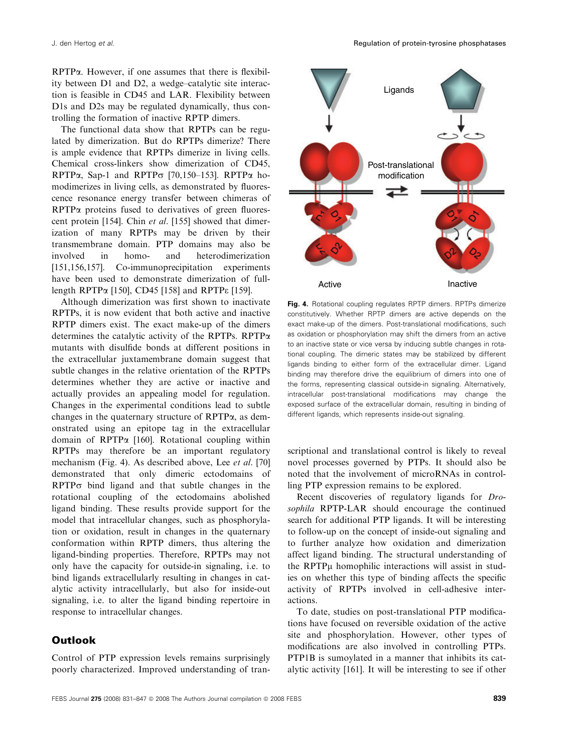RPTPa. However, if one assumes that there is flexibility between D1 and D2, a wedge–catalytic site interaction is feasible in CD45 and LAR. Flexibility between D1s and D2s may be regulated dynamically, thus controlling the formation of inactive RPTP dimers.

The functional data show that RPTPs can be regulated by dimerization. But do RPTPs dimerize? There is ample evidence that RPTPs dimerize in living cells. Chemical cross-linkers show dimerization of CD45, RPTP $\alpha$ , Sap-1 and RPTP $\sigma$  [70,150–153]. RPTP $\alpha$  homodimerizes in living cells, as demonstrated by fluorescence resonance energy transfer between chimeras of RPTPa proteins fused to derivatives of green fluorescent protein [154]. Chin et al. [155] showed that dimerization of many RPTPs may be driven by their transmembrane domain. PTP domains may also be involved in homo- and heterodimerization [151,156,157]. Co-immunoprecipitation experiments have been used to demonstrate dimerization of fulllength RPTPa [150], CD45 [158] and RPTPe [159].

Although dimerization was first shown to inactivate RPTPs, it is now evident that both active and inactive RPTP dimers exist. The exact make-up of the dimers determines the catalytic activity of the RPTPs. RPTPa mutants with disulfide bonds at different positions in the extracellular juxtamembrane domain suggest that subtle changes in the relative orientation of the RPTPs determines whether they are active or inactive and actually provides an appealing model for regulation. Changes in the experimental conditions lead to subtle changes in the quaternary structure of  $RPTP\alpha$ , as demonstrated using an epitope tag in the extracellular domain of RPTPa [160]. Rotational coupling within RPTPs may therefore be an important regulatory mechanism (Fig. 4). As described above, Lee et al. [70] demonstrated that only dimeric ectodomains of  $RPTP\sigma$  bind ligand and that subtle changes in the rotational coupling of the ectodomains abolished ligand binding. These results provide support for the model that intracellular changes, such as phosphorylation or oxidation, result in changes in the quaternary conformation within RPTP dimers, thus altering the ligand-binding properties. Therefore, RPTPs may not only have the capacity for outside-in signaling, i.e. to bind ligands extracellularly resulting in changes in catalytic activity intracellularly, but also for inside-out signaling, i.e. to alter the ligand binding repertoire in response to intracellular changes.

### **Outlook**

Control of PTP expression levels remains surprisingly poorly characterized. Improved understanding of tran-



Fig. 4. Rotational coupling regulates RPTP dimers. RPTPs dimerize constitutively. Whether RPTP dimers are active depends on the exact make-up of the dimers. Post-translational modifications, such as oxidation or phosphorylation may shift the dimers from an active to an inactive state or vice versa by inducing subtle changes in rotational coupling. The dimeric states may be stabilized by different ligands binding to either form of the extracellular dimer. Ligand binding may therefore drive the equilibrium of dimers into one of the forms, representing classical outside-in signaling. Alternatively, intracellular post-translational modifications may change the exposed surface of the extracellular domain, resulting in binding of different ligands, which represents inside-out signaling.

scriptional and translational control is likely to reveal novel processes governed by PTPs. It should also be noted that the involvement of microRNAs in controlling PTP expression remains to be explored.

Recent discoveries of regulatory ligands for Drosophila RPTP-LAR should encourage the continued search for additional PTP ligands. It will be interesting to follow-up on the concept of inside-out signaling and to further analyze how oxidation and dimerization affect ligand binding. The structural understanding of the  $RPTP\mu$  homophilic interactions will assist in studies on whether this type of binding affects the specific activity of RPTPs involved in cell-adhesive interactions.

To date, studies on post-translational PTP modifications have focused on reversible oxidation of the active site and phosphorylation. However, other types of modifications are also involved in controlling PTPs. PTP1B is sumoylated in a manner that inhibits its catalytic activity [161]. It will be interesting to see if other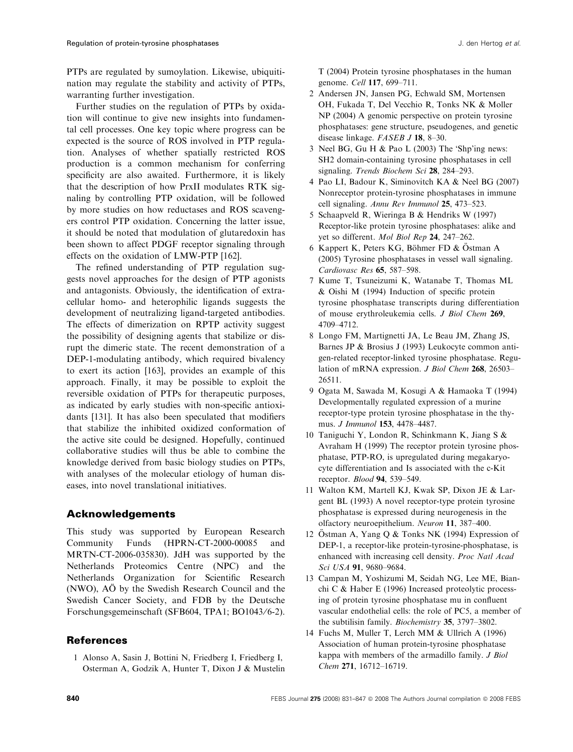PTPs are regulated by sumoylation. Likewise, ubiquitination may regulate the stability and activity of PTPs, warranting further investigation.

Further studies on the regulation of PTPs by oxidation will continue to give new insights into fundamental cell processes. One key topic where progress can be expected is the source of ROS involved in PTP regulation. Analyses of whether spatially restricted ROS production is a common mechanism for conferring specificity are also awaited. Furthermore, it is likely that the description of how PrxII modulates RTK signaling by controlling PTP oxidation, will be followed by more studies on how reductases and ROS scavengers control PTP oxidation. Concerning the latter issue, it should be noted that modulation of glutaredoxin has been shown to affect PDGF receptor signaling through effects on the oxidation of LMW-PTP [162].

The refined understanding of PTP regulation suggests novel approaches for the design of PTP agonists and antagonists. Obviously, the identification of extracellular homo- and heterophilic ligands suggests the development of neutralizing ligand-targeted antibodies. The effects of dimerization on RPTP activity suggest the possibility of designing agents that stabilize or disrupt the dimeric state. The recent demonstration of a DEP-1-modulating antibody, which required bivalency to exert its action [163], provides an example of this approach. Finally, it may be possible to exploit the reversible oxidation of PTPs for therapeutic purposes, as indicated by early studies with non-specific antioxidants [131]. It has also been speculated that modifiers that stabilize the inhibited oxidized conformation of the active site could be designed. Hopefully, continued collaborative studies will thus be able to combine the knowledge derived from basic biology studies on PTPs, with analyses of the molecular etiology of human diseases, into novel translational initiatives.

#### Acknowledgements

This study was supported by European Research Community Funds (HPRN-CT-2000-00085 and MRTN-CT-2006-035830). JdH was supported by the Netherlands Proteomics Centre (NPC) and the Netherlands Organization for Scientific Research (NWO), AO¨ by the Swedish Research Council and the Swedish Cancer Society, and FDB by the Deutsche Forschungsgemeinschaft (SFB604, TPA1; BO1043/6-2).

#### References

1 Alonso A, Sasin J, Bottini N, Friedberg I, Friedberg I, Osterman A, Godzik A, Hunter T, Dixon J & Mustelin T (2004) Protein tyrosine phosphatases in the human genome. Cell 117, 699–711.

- 2 Andersen JN, Jansen PG, Echwald SM, Mortensen OH, Fukada T, Del Vecchio R, Tonks NK & Moller NP (2004) A genomic perspective on protein tyrosine phosphatases: gene structure, pseudogenes, and genetic disease linkage. FASEB J 18, 8–30.
- 3 Neel BG, Gu H & Pao L (2003) The 'Shp'ing news: SH2 domain-containing tyrosine phosphatases in cell signaling. Trends Biochem Sci 28, 284–293.
- 4 Pao LI, Badour K, Siminovitch KA & Neel BG (2007) Nonreceptor protein-tyrosine phosphatases in immune cell signaling. Annu Rev Immunol 25, 473–523.
- 5 Schaapveld R, Wieringa B & Hendriks W (1997) Receptor-like protein tyrosine phosphatases: alike and yet so different. Mol Biol Rep 24, 247–262.
- 6 Kappert K, Peters KG, Böhmer FD & Östman A (2005) Tyrosine phosphatases in vessel wall signaling. Cardiovasc Res 65, 587–598.
- 7 Kume T, Tsuneizumi K, Watanabe T, Thomas ML & Oishi M (1994) Induction of specific protein tyrosine phosphatase transcripts during differentiation of mouse erythroleukemia cells. J Biol Chem 269, 4709–4712.
- 8 Longo FM, Martignetti JA, Le Beau JM, Zhang JS, Barnes JP & Brosius J (1993) Leukocyte common antigen-related receptor-linked tyrosine phosphatase. Regulation of mRNA expression. J Biol Chem 268, 26503-26511.
- 9 Ogata M, Sawada M, Kosugi A & Hamaoka T (1994) Developmentally regulated expression of a murine receptor-type protein tyrosine phosphatase in the thymus. J Immunol 153, 4478–4487.
- 10 Taniguchi Y, London R, Schinkmann K, Jiang S & Avraham H (1999) The receptor protein tyrosine phosphatase, PTP-RO, is upregulated during megakaryocyte differentiation and Is associated with the c-Kit receptor. Blood 94, 539–549.
- 11 Walton KM, Martell KJ, Kwak SP, Dixon JE & Largent BL (1993) A novel receptor-type protein tyrosine phosphatase is expressed during neurogenesis in the olfactory neuroepithelium. Neuron 11, 387–400.
- 12 Östman A, Yang Q & Tonks NK (1994) Expression of DEP-1, a receptor-like protein-tyrosine-phosphatase, is enhanced with increasing cell density. Proc Natl Acad Sci USA 91, 9680–9684.
- 13 Campan M, Yoshizumi M, Seidah NG, Lee ME, Bianchi C & Haber E (1996) Increased proteolytic processing of protein tyrosine phosphatase mu in confluent vascular endothelial cells: the role of PC5, a member of the subtilisin family. Biochemistry 35, 3797–3802.
- 14 Fuchs M, Muller T, Lerch MM & Ullrich A (1996) Association of human protein-tyrosine phosphatase kappa with members of the armadillo family. J Biol Chem 271, 16712–16719.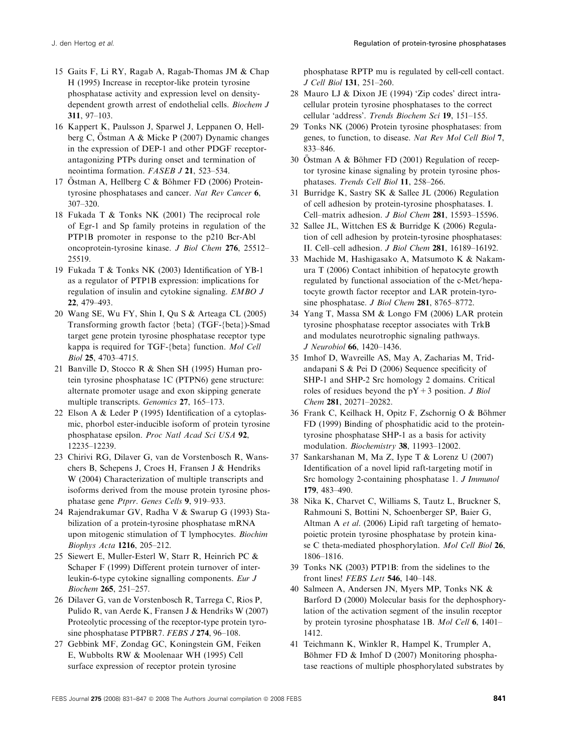- 15 Gaits F, Li RY, Ragab A, Ragab-Thomas JM & Chap H (1995) Increase in receptor-like protein tyrosine phosphatase activity and expression level on densitydependent growth arrest of endothelial cells. Biochem J 311, 97–103.
- 16 Kappert K, Paulsson J, Sparwel J, Leppanen O, Hellberg C, Östman A & Micke P (2007) Dynamic changes in the expression of DEP-1 and other PDGF receptorantagonizing PTPs during onset and termination of neointima formation. FASEB J 21, 523–534.
- 17 Östman A, Hellberg C & Böhmer FD (2006) Proteintyrosine phosphatases and cancer. Nat Rev Cancer 6, 307–320.
- 18 Fukada T & Tonks NK (2001) The reciprocal role of Egr-1 and Sp family proteins in regulation of the PTP1B promoter in response to the p210 Bcr-Abl oncoprotein-tyrosine kinase. J Biol Chem 276, 25512– 25519.
- 19 Fukada T & Tonks NK (2003) Identification of YB-1 as a regulator of PTP1B expression: implications for regulation of insulin and cytokine signaling. EMBO J 22, 479–493.
- 20 Wang SE, Wu FY, Shin I, Qu S & Arteaga CL (2005) Transforming growth factor {beta} (TGF-{beta})-Smad target gene protein tyrosine phosphatase receptor type kappa is required for TGF-{beta} function. Mol Cell Biol 25, 4703–4715.
- 21 Banville D, Stocco R & Shen SH (1995) Human protein tyrosine phosphatase 1C (PTPN6) gene structure: alternate promoter usage and exon skipping generate multiple transcripts. Genomics 27, 165–173.
- 22 Elson A & Leder P (1995) Identification of a cytoplasmic, phorbol ester-inducible isoform of protein tyrosine phosphatase epsilon. Proc Natl Acad Sci USA 92, 12235–12239.
- 23 Chirivi RG, Dilaver G, van de Vorstenbosch R, Wanschers B, Schepens J, Croes H, Fransen J & Hendriks W (2004) Characterization of multiple transcripts and isoforms derived from the mouse protein tyrosine phosphatase gene Ptprr. Genes Cells 9, 919–933.
- 24 Rajendrakumar GV, Radha V & Swarup G (1993) Stabilization of a protein-tyrosine phosphatase mRNA upon mitogenic stimulation of T lymphocytes. Biochim Biophys Acta 1216, 205–212.
- 25 Siewert E, Muller-Esterl W, Starr R, Heinrich PC & Schaper F (1999) Different protein turnover of interleukin-6-type cytokine signalling components. Eur J Biochem 265, 251–257.
- 26 Dilaver G, van de Vorstenbosch R, Tarrega C, Rios P, Pulido R, van Aerde K, Fransen J & Hendriks W (2007) Proteolytic processing of the receptor-type protein tyrosine phosphatase PTPBR7. FEBS J 274, 96-108.
- 27 Gebbink MF, Zondag GC, Koningstein GM, Feiken E, Wubbolts RW & Moolenaar WH (1995) Cell surface expression of receptor protein tyrosine

phosphatase RPTP mu is regulated by cell-cell contact. J Cell Biol 131, 251–260.

- 28 Mauro LJ & Dixon JE (1994) 'Zip codes' direct intracellular protein tyrosine phosphatases to the correct cellular 'address'. Trends Biochem Sci 19, 151–155.
- 29 Tonks NK (2006) Protein tyrosine phosphatases: from genes, to function, to disease. Nat Rev Mol Cell Biol 7, 833–846.
- 30 Östman A & Böhmer FD (2001) Regulation of receptor tyrosine kinase signaling by protein tyrosine phosphatases. Trends Cell Biol 11, 258–266.
- 31 Burridge K, Sastry SK & Sallee JL (2006) Regulation of cell adhesion by protein-tyrosine phosphatases. I. Cell–matrix adhesion. J Biol Chem 281, 15593–15596.
- 32 Sallee JL, Wittchen ES & Burridge K (2006) Regulation of cell adhesion by protein-tyrosine phosphatases: II. Cell–cell adhesion. J Biol Chem 281, 16189–16192.
- 33 Machide M, Hashigasako A, Matsumoto K & Nakamura T (2006) Contact inhibition of hepatocyte growth regulated by functional association of the c-Met⁄ hepatocyte growth factor receptor and LAR protein-tyrosine phosphatase. J Biol Chem 281, 8765–8772.
- 34 Yang T, Massa SM & Longo FM (2006) LAR protein tyrosine phosphatase receptor associates with TrkB and modulates neurotrophic signaling pathways. J Neurobiol 66, 1420–1436.
- 35 Imhof D, Wavreille AS, May A, Zacharias M, Tridandapani S & Pei D (2006) Sequence specificity of SHP-1 and SHP-2 Src homology 2 domains. Critical roles of residues beyond the  $pY+3$  position. *J Biol* Chem 281, 20271–20282.
- 36 Frank C, Keilhack H, Opitz F, Zschornig O & Böhmer FD (1999) Binding of phosphatidic acid to the proteintyrosine phosphatase SHP-1 as a basis for activity modulation. Biochemistry 38, 11993–12002.
- 37 Sankarshanan M, Ma Z, Iype T & Lorenz U (2007) Identification of a novel lipid raft-targeting motif in Src homology 2-containing phosphatase 1. J Immunol 179, 483–490.
- 38 Nika K, Charvet C, Williams S, Tautz L, Bruckner S, Rahmouni S, Bottini N, Schoenberger SP, Baier G, Altman A et al. (2006) Lipid raft targeting of hematopoietic protein tyrosine phosphatase by protein kinase C theta-mediated phosphorylation. Mol Cell Biol 26, 1806–1816.
- 39 Tonks NK (2003) PTP1B: from the sidelines to the front lines! FEBS Lett 546, 140–148.
- 40 Salmeen A, Andersen JN, Myers MP, Tonks NK & Barford D (2000) Molecular basis for the dephosphorylation of the activation segment of the insulin receptor by protein tyrosine phosphatase 1B. Mol Cell 6, 1401– 1412.
- 41 Teichmann K, Winkler R, Hampel K, Trumpler A, Böhmer FD & Imhof D (2007) Monitoring phosphatase reactions of multiple phosphorylated substrates by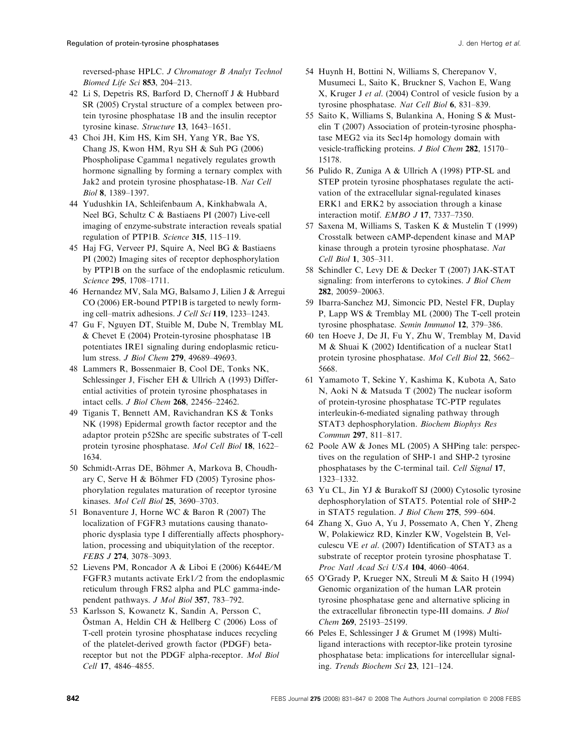reversed-phase HPLC. J Chromatogr B Analyt Technol Biomed Life Sci 853, 204–213.

- 42 Li S, Depetris RS, Barford D, Chernoff J & Hubbard SR (2005) Crystal structure of a complex between protein tyrosine phosphatase 1B and the insulin receptor tyrosine kinase. Structure 13, 1643–1651.
- 43 Choi JH, Kim HS, Kim SH, Yang YR, Bae YS, Chang JS, Kwon HM, Ryu SH & Suh PG (2006) Phospholipase Cgamma1 negatively regulates growth hormone signalling by forming a ternary complex with Jak2 and protein tyrosine phosphatase-1B. Nat Cell Biol 8, 1389–1397.
- 44 Yudushkin IA, Schleifenbaum A, Kinkhabwala A, Neel BG, Schultz C & Bastiaens PI (2007) Live-cell imaging of enzyme-substrate interaction reveals spatial regulation of PTP1B. Science 315, 115–119.
- 45 Haj FG, Verveer PJ, Squire A, Neel BG & Bastiaens PI (2002) Imaging sites of receptor dephosphorylation by PTP1B on the surface of the endoplasmic reticulum. Science 295, 1708–1711.
- 46 Hernandez MV, Sala MG, Balsamo J, Lilien J & Arregui CO (2006) ER-bound PTP1B is targeted to newly forming cell–matrix adhesions. J Cell Sci 119, 1233–1243.
- 47 Gu F, Nguyen DT, Stuible M, Dube N, Tremblay ML & Chevet E (2004) Protein-tyrosine phosphatase 1B potentiates IRE1 signaling during endoplasmic reticulum stress. J Biol Chem 279, 49689–49693.
- 48 Lammers R, Bossenmaier B, Cool DE, Tonks NK, Schlessinger J, Fischer EH & Ullrich A (1993) Differential activities of protein tyrosine phosphatases in intact cells. J Biol Chem 268, 22456–22462.
- 49 Tiganis T, Bennett AM, Ravichandran KS & Tonks NK (1998) Epidermal growth factor receptor and the adaptor protein p52Shc are specific substrates of T-cell protein tyrosine phosphatase. Mol Cell Biol 18, 1622– 1634.
- 50 Schmidt-Arras DE, Böhmer A, Markova B, Choudhary C, Serve H & Böhmer FD (2005) Tyrosine phosphorylation regulates maturation of receptor tyrosine kinases. Mol Cell Biol 25, 3690–3703.
- 51 Bonaventure J, Horne WC & Baron R (2007) The localization of FGFR3 mutations causing thanatophoric dysplasia type I differentially affects phosphorylation, processing and ubiquitylation of the receptor. FEBS J 274, 3078–3093.
- 52 Lievens PM, Roncador A & Liboi E (2006) K644E⁄ M FGFR3 mutants activate Erk1/2 from the endoplasmic reticulum through FRS2 alpha and PLC gamma-independent pathways. J Mol Biol 357, 783–792.
- 53 Karlsson S, Kowanetz K, Sandin A, Persson C, Östman A, Heldin CH & Hellberg C (2006) Loss of T-cell protein tyrosine phosphatase induces recycling of the platelet-derived growth factor (PDGF) betareceptor but not the PDGF alpha-receptor. Mol Biol Cell 17, 4846–4855.
- 54 Huynh H, Bottini N, Williams S, Cherepanov V, Musumeci L, Saito K, Bruckner S, Vachon E, Wang X, Kruger J et al. (2004) Control of vesicle fusion by a tyrosine phosphatase. Nat Cell Biol 6, 831–839.
- 55 Saito K, Williams S, Bulankina A, Honing S & Mustelin T (2007) Association of protein-tyrosine phosphatase MEG2 via its Sec14p homology domain with vesicle-trafficking proteins. J Biol Chem 282, 15170– 15178.
- 56 Pulido R, Zuniga A & Ullrich A (1998) PTP-SL and STEP protein tyrosine phosphatases regulate the activation of the extracellular signal-regulated kinases ERK1 and ERK2 by association through a kinase interaction motif. EMBO J 17, 7337–7350.
- 57 Saxena M, Williams S, Tasken K & Mustelin T (1999) Crosstalk between cAMP-dependent kinase and MAP kinase through a protein tyrosine phosphatase. Nat Cell Biol 1, 305–311.
- 58 Schindler C, Levy DE & Decker T (2007) JAK-STAT signaling: from interferons to cytokines. J Biol Chem 282, 20059–20063.
- 59 Ibarra-Sanchez MJ, Simoncic PD, Nestel FR, Duplay P, Lapp WS & Tremblay ML (2000) The T-cell protein tyrosine phosphatase. Semin Immunol 12, 379–386.
- 60 ten Hoeve J, De JI, Fu Y, Zhu W, Tremblay M, David M & Shuai K (2002) Identification of a nuclear Stat1 protein tyrosine phosphatase. Mol Cell Biol 22, 5662– 5668.
- 61 Yamamoto T, Sekine Y, Kashima K, Kubota A, Sato N, Aoki N & Matsuda T (2002) The nuclear isoform of protein-tyrosine phosphatase TC-PTP regulates interleukin-6-mediated signaling pathway through STAT3 dephosphorylation. Biochem Biophys Res Commun 297, 811–817.
- 62 Poole AW & Jones ML (2005) A SHPing tale: perspectives on the regulation of SHP-1 and SHP-2 tyrosine phosphatases by the C-terminal tail. Cell Signal 17, 1323–1332.
- 63 Yu CL, Jin YJ & Burakoff SJ (2000) Cytosolic tyrosine dephosphorylation of STAT5. Potential role of SHP-2 in STAT5 regulation. J Biol Chem 275, 599–604.
- 64 Zhang X, Guo A, Yu J, Possemato A, Chen Y, Zheng W, Polakiewicz RD, Kinzler KW, Vogelstein B, Velculescu VE et al. (2007) Identification of STAT3 as a substrate of receptor protein tyrosine phosphatase T. Proc Natl Acad Sci USA 104, 4060–4064.
- 65 O'Grady P, Krueger NX, Streuli M & Saito H (1994) Genomic organization of the human LAR protein tyrosine phosphatase gene and alternative splicing in the extracellular fibronectin type-III domains. J Biol Chem 269, 25193–25199.
- 66 Peles E, Schlessinger J & Grumet M (1998) Multiligand interactions with receptor-like protein tyrosine phosphatase beta: implications for intercellular signaling. Trends Biochem Sci 23, 121–124.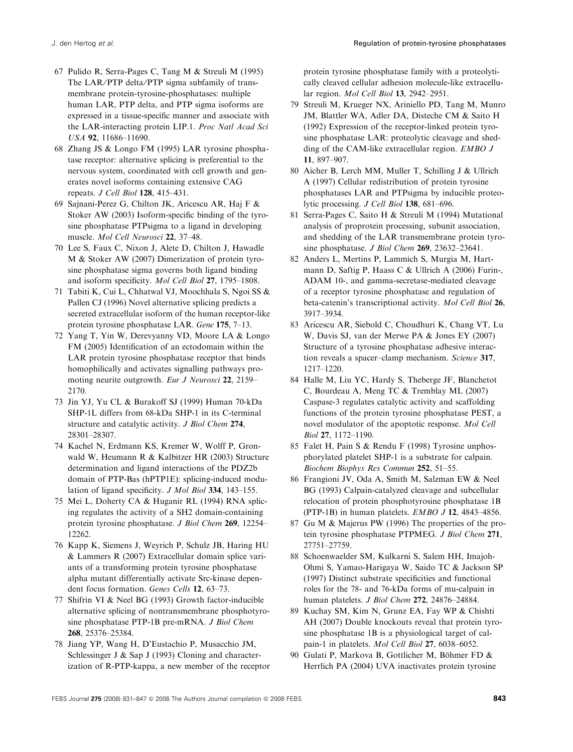- 67 Pulido R, Serra-Pages C, Tang M & Streuli M (1995) The LAR/PTP delta/PTP sigma subfamily of transmembrane protein-tyrosine-phosphatases: multiple human LAR, PTP delta, and PTP sigma isoforms are expressed in a tissue-specific manner and associate with the LAR-interacting protein LIP.1. Proc Natl Acad Sci USA 92, 11686–11690.
- 68 Zhang JS & Longo FM (1995) LAR tyrosine phosphatase receptor: alternative splicing is preferential to the nervous system, coordinated with cell growth and generates novel isoforms containing extensive CAG repeats. J Cell Biol 128, 415–431.
- 69 Sajnani-Perez G, Chilton JK, Aricescu AR, Haj F & Stoker AW (2003) Isoform-specific binding of the tyrosine phosphatase PTPsigma to a ligand in developing muscle. Mol Cell Neurosci 22, 37–48.
- 70 Lee S, Faux C, Nixon J, Alete D, Chilton J, Hawadle M & Stoker AW (2007) Dimerization of protein tyrosine phosphatase sigma governs both ligand binding and isoform specificity. Mol Cell Biol 27, 1795–1808.
- 71 Tabiti K, Cui L, Chhatwal VJ, Moochhala S, Ngoi SS & Pallen CJ (1996) Novel alternative splicing predicts a secreted extracellular isoform of the human receptor-like protein tyrosine phosphatase LAR. Gene 175, 7–13.
- 72 Yang T, Yin W, Derevyanny VD, Moore LA & Longo FM (2005) Identification of an ectodomain within the LAR protein tyrosine phosphatase receptor that binds homophilically and activates signalling pathways promoting neurite outgrowth. Eur J Neurosci 22, 2159– 2170.
- 73 Jin YJ, Yu CL & Burakoff SJ (1999) Human 70-kDa SHP-1L differs from 68-kDa SHP-1 in its C-terminal structure and catalytic activity. J Biol Chem 274, 28301–28307.
- 74 Kachel N, Erdmann KS, Kremer W, Wolff P, Gronwald W, Heumann R & Kalbitzer HR (2003) Structure determination and ligand interactions of the PDZ2b domain of PTP-Bas (hPTP1E): splicing-induced modulation of ligand specificity. J Mol Biol 334, 143–155.
- 75 Mei L, Doherty CA & Huganir RL (1994) RNA splicing regulates the activity of a SH2 domain-containing protein tyrosine phosphatase. J Biol Chem 269, 12254– 12262.
- 76 Kapp K, Siemens J, Weyrich P, Schulz JB, Haring HU & Lammers R (2007) Extracellular domain splice variants of a transforming protein tyrosine phosphatase alpha mutant differentially activate Src-kinase dependent focus formation. Genes Cells 12, 63–73.
- 77 Shifrin VI & Neel BG (1993) Growth factor-inducible alternative splicing of nontransmembrane phosphotyrosine phosphatase PTP-1B pre-mRNA. J Biol Chem 268, 25376–25384.
- 78 Jiang YP, Wang H, D'Eustachio P, Musacchio JM, Schlessinger J & Sap J (1993) Cloning and characterization of R-PTP-kappa, a new member of the receptor

protein tyrosine phosphatase family with a proteolytically cleaved cellular adhesion molecule-like extracellular region. Mol Cell Biol 13, 2942–2951.

- 79 Streuli M, Krueger NX, Ariniello PD, Tang M, Munro JM, Blattler WA, Adler DA, Disteche CM & Saito H (1992) Expression of the receptor-linked protein tyrosine phosphatase LAR: proteolytic cleavage and shedding of the CAM-like extracellular region. EMBO J 11, 897–907.
- 80 Aicher B, Lerch MM, Muller T, Schilling J & Ullrich A (1997) Cellular redistribution of protein tyrosine phosphatases LAR and PTPsigma by inducible proteolytic processing. J Cell Biol 138, 681–696.
- 81 Serra-Pages C, Saito H & Streuli M (1994) Mutational analysis of proprotein processing, subunit association, and shedding of the LAR transmembrane protein tyrosine phosphatase. *J Biol Chem* 269, 23632-23641.
- 82 Anders L, Mertins P, Lammich S, Murgia M, Hartmann D, Saftig P, Haass C & Ullrich A (2006) Furin-, ADAM 10-, and gamma-secretase-mediated cleavage of a receptor tyrosine phosphatase and regulation of beta-catenin's transcriptional activity. Mol Cell Biol 26, 3917–3934.
- 83 Aricescu AR, Siebold C, Choudhuri K, Chang VT, Lu W, Davis SJ, van der Merwe PA & Jones EY (2007) Structure of a tyrosine phosphatase adhesive interaction reveals a spacer–clamp mechanism. Science 317, 1217–1220.
- 84 Halle M, Liu YC, Hardy S, Theberge JF, Blanchetot C, Bourdeau A, Meng TC & Tremblay ML (2007) Caspase-3 regulates catalytic activity and scaffolding functions of the protein tyrosine phosphatase PEST, a novel modulator of the apoptotic response. Mol Cell Biol 27, 1172–1190.
- 85 Falet H, Pain S & Rendu F (1998) Tyrosine unphosphorylated platelet SHP-1 is a substrate for calpain. Biochem Biophys Res Commun 252, 51–55.
- 86 Frangioni JV, Oda A, Smith M, Salzman EW & Neel BG (1993) Calpain-catalyzed cleavage and subcellular relocation of protein phosphotyrosine phosphatase 1B (PTP-1B) in human platelets.  $EMBO$  J 12, 4843-4856.
- 87 Gu M & Majerus PW (1996) The properties of the protein tyrosine phosphatase PTPMEG. J Biol Chem 271, 27751–27759.
- 88 Schoenwaelder SM, Kulkarni S, Salem HH, Imajoh-Ohmi S, Yamao-Harigaya W, Saido TC & Jackson SP (1997) Distinct substrate specificities and functional roles for the 78- and 76-kDa forms of mu-calpain in human platelets. J Biol Chem 272, 24876-24884.
- 89 Kuchay SM, Kim N, Grunz EA, Fay WP & Chishti AH (2007) Double knockouts reveal that protein tyrosine phosphatase 1B is a physiological target of calpain-1 in platelets. Mol Cell Biol 27, 6038–6052.
- 90 Gulati P, Markova B, Gottlicher M, Böhmer FD & Herrlich PA (2004) UVA inactivates protein tyrosine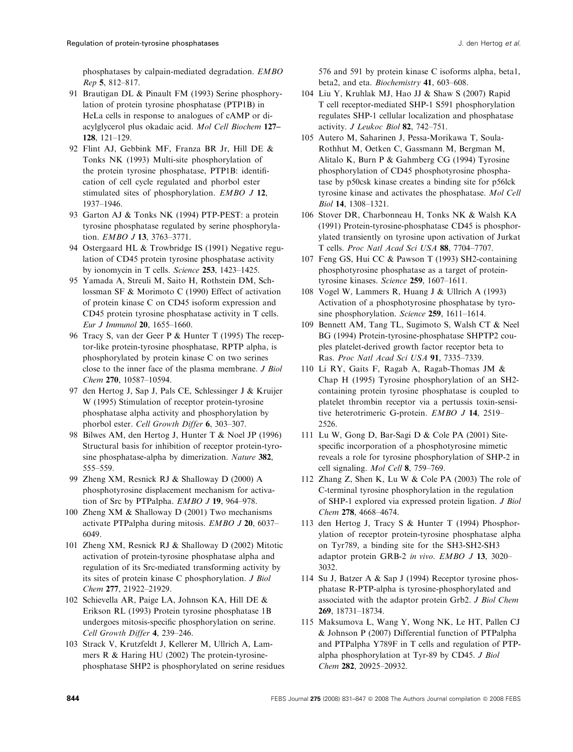phosphatases by calpain-mediated degradation. EMBO Rep 5, 812–817.

- 91 Brautigan DL & Pinault FM (1993) Serine phosphorylation of protein tyrosine phosphatase (PTP1B) in HeLa cells in response to analogues of cAMP or diacylglycerol plus okadaic acid. Mol Cell Biochem 127– 128, 121–129.
- 92 Flint AJ, Gebbink MF, Franza BR Jr, Hill DE & Tonks NK (1993) Multi-site phosphorylation of the protein tyrosine phosphatase, PTP1B: identification of cell cycle regulated and phorbol ester stimulated sites of phosphorylation. EMBO J 12, 1937–1946.
- 93 Garton AJ & Tonks NK (1994) PTP-PEST: a protein tyrosine phosphatase regulated by serine phosphorylation. EMBO J 13, 3763–3771.
- 94 Ostergaard HL & Trowbridge IS (1991) Negative regulation of CD45 protein tyrosine phosphatase activity by ionomycin in T cells. Science 253, 1423–1425.
- 95 Yamada A, Streuli M, Saito H, Rothstein DM, Schlossman SF & Morimoto C (1990) Effect of activation of protein kinase C on CD45 isoform expression and CD45 protein tyrosine phosphatase activity in T cells. Eur J Immunol 20, 1655–1660.
- 96 Tracy S, van der Geer P & Hunter T (1995) The receptor-like protein-tyrosine phosphatase, RPTP alpha, is phosphorylated by protein kinase C on two serines close to the inner face of the plasma membrane. J Biol Chem 270, 10587–10594.
- 97 den Hertog J, Sap J, Pals CE, Schlessinger J & Kruijer W (1995) Stimulation of receptor protein-tyrosine phosphatase alpha activity and phosphorylation by phorbol ester. Cell Growth Differ 6, 303–307.
- 98 Bilwes AM, den Hertog J, Hunter T & Noel JP (1996) Structural basis for inhibition of receptor protein-tyrosine phosphatase-alpha by dimerization. Nature 382, 555–559.
- 99 Zheng XM, Resnick RJ & Shalloway D (2000) A phosphotyrosine displacement mechanism for activation of Src by PTPalpha. EMBO J 19, 964–978.
- 100 Zheng XM & Shalloway D (2001) Two mechanisms activate PTPalpha during mitosis. EMBO J 20, 6037– 6049.
- 101 Zheng XM, Resnick RJ & Shalloway D (2002) Mitotic activation of protein-tyrosine phosphatase alpha and regulation of its Src-mediated transforming activity by its sites of protein kinase C phosphorylation. J Biol Chem 277, 21922–21929.
- 102 Schievella AR, Paige LA, Johnson KA, Hill DE & Erikson RL (1993) Protein tyrosine phosphatase 1B undergoes mitosis-specific phosphorylation on serine. Cell Growth Differ 4, 239–246.
- 103 Strack V, Krutzfeldt J, Kellerer M, Ullrich A, Lammers R & Haring HU (2002) The protein-tyrosinephosphatase SHP2 is phosphorylated on serine residues

576 and 591 by protein kinase C isoforms alpha, beta1, beta2, and eta. Biochemistry 41, 603-608.

- 104 Liu Y, Kruhlak MJ, Hao JJ & Shaw S (2007) Rapid T cell receptor-mediated SHP-1 S591 phosphorylation regulates SHP-1 cellular localization and phosphatase activity. J Leukoc Biol 82, 742–751.
- 105 Autero M, Saharinen J, Pessa-Morikawa T, Soula-Rothhut M, Oetken C, Gassmann M, Bergman M, Alitalo K, Burn P & Gahmberg CG (1994) Tyrosine phosphorylation of CD45 phosphotyrosine phosphatase by p50csk kinase creates a binding site for p56lck tyrosine kinase and activates the phosphatase. Mol Cell Biol 14, 1308–1321.
- 106 Stover DR, Charbonneau H, Tonks NK & Walsh KA (1991) Protein-tyrosine-phosphatase CD45 is phosphorylated transiently on tyrosine upon activation of Jurkat T cells. Proc Natl Acad Sci USA 88, 7704–7707.
- 107 Feng GS, Hui CC & Pawson T (1993) SH2-containing phosphotyrosine phosphatase as a target of proteintyrosine kinases. Science 259, 1607–1611.
- 108 Vogel W, Lammers R, Huang J & Ullrich A (1993) Activation of a phosphotyrosine phosphatase by tyrosine phosphorylation. Science 259, 1611-1614.
- 109 Bennett AM, Tang TL, Sugimoto S, Walsh CT & Neel BG (1994) Protein-tyrosine-phosphatase SHPTP2 couples platelet-derived growth factor receptor beta to Ras. Proc Natl Acad Sci USA 91, 7335–7339.
- 110 Li RY, Gaits F, Ragab A, Ragab-Thomas JM & Chap H (1995) Tyrosine phosphorylation of an SH2 containing protein tyrosine phosphatase is coupled to platelet thrombin receptor via a pertussis toxin-sensitive heterotrimeric G-protein. EMBO J 14, 2519– 2526.
- 111 Lu W, Gong D, Bar-Sagi D & Cole PA (2001) Sitespecific incorporation of a phosphotyrosine mimetic reveals a role for tyrosine phosphorylation of SHP-2 in cell signaling. Mol Cell 8, 759–769.
- 112 Zhang Z, Shen K, Lu W & Cole PA (2003) The role of C-terminal tyrosine phosphorylation in the regulation of SHP-1 explored via expressed protein ligation. J Biol Chem 278, 4668–4674.
- 113 den Hertog J, Tracy S & Hunter T (1994) Phosphorylation of receptor protein-tyrosine phosphatase alpha on Tyr789, a binding site for the SH3-SH2-SH3 adaptor protein GRB-2 in vivo. EMBO J 13, 3020– 3032.
- 114 Su J, Batzer A & Sap J (1994) Receptor tyrosine phosphatase R-PTP-alpha is tyrosine-phosphorylated and associated with the adaptor protein Grb2. J Biol Chem 269, 18731–18734.
- 115 Maksumova L, Wang Y, Wong NK, Le HT, Pallen CJ & Johnson P (2007) Differential function of PTPalpha and PTPalpha Y789F in T cells and regulation of PTPalpha phosphorylation at Tyr-89 by CD45. J Biol Chem 282, 20925–20932.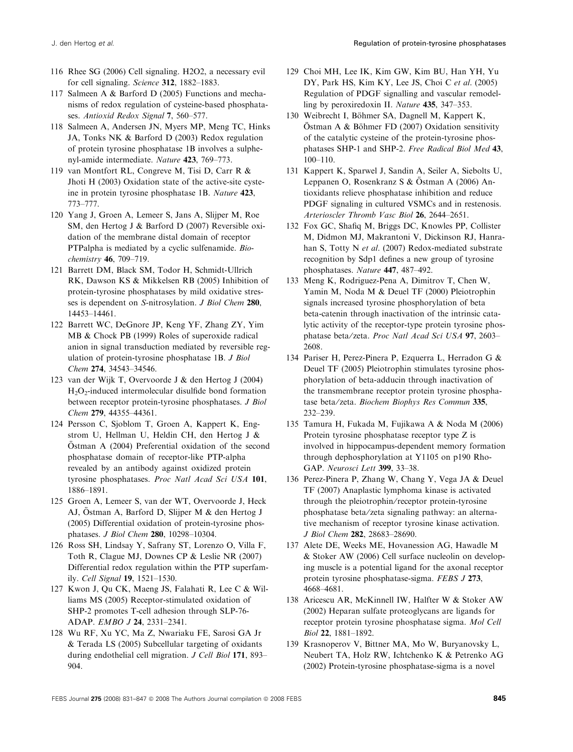- 116 Rhee SG (2006) Cell signaling. H2O2, a necessary evil for cell signaling. Science 312, 1882–1883.
- 117 Salmeen A & Barford D (2005) Functions and mechanisms of redox regulation of cysteine-based phosphatases. Antioxid Redox Signal 7, 560-577.
- 118 Salmeen A, Andersen JN, Myers MP, Meng TC, Hinks JA, Tonks NK & Barford D (2003) Redox regulation of protein tyrosine phosphatase 1B involves a sulphenyl-amide intermediate. Nature 423, 769–773.
- 119 van Montfort RL, Congreve M, Tisi D, Carr R & Jhoti H (2003) Oxidation state of the active-site cysteine in protein tyrosine phosphatase 1B. Nature 423, 773–777.
- 120 Yang J, Groen A, Lemeer S, Jans A, Slijper M, Roe SM, den Hertog J & Barford D (2007) Reversible oxidation of the membrane distal domain of receptor PTPalpha is mediated by a cyclic sulfenamide. Biochemistry 46, 709–719.
- 121 Barrett DM, Black SM, Todor H, Schmidt-Ullrich RK, Dawson KS & Mikkelsen RB (2005) Inhibition of protein-tyrosine phosphatases by mild oxidative stresses is dependent on S-nitrosylation. J Biol Chem 280, 14453–14461.
- 122 Barrett WC, DeGnore JP, Keng YF, Zhang ZY, Yim MB & Chock PB (1999) Roles of superoxide radical anion in signal transduction mediated by reversible regulation of protein-tyrosine phosphatase 1B. J Biol Chem 274, 34543–34546.
- 123 van der Wijk T, Overvoorde J & den Hertog J (2004)  $H_2O_2$ -induced intermolecular disulfide bond formation between receptor protein-tyrosine phosphatases. J Biol Chem 279, 44355–44361.
- 124 Persson C, Sjoblom T, Groen A, Kappert K, Engstrom U, Hellman U, Heldin CH, den Hertog J & Östman A (2004) Preferential oxidation of the second phosphatase domain of receptor-like PTP-alpha revealed by an antibody against oxidized protein tyrosine phosphatases. Proc Natl Acad Sci USA 101, 1886–1891.
- 125 Groen A, Lemeer S, van der WT, Overvoorde J, Heck AJ, Östman A, Barford D, Slijper M & den Hertog J (2005) Differential oxidation of protein-tyrosine phosphatases. J Biol Chem 280, 10298–10304.
- 126 Ross SH, Lindsay Y, Safrany ST, Lorenzo O, Villa F, Toth R, Clague MJ, Downes CP & Leslie NR (2007) Differential redox regulation within the PTP superfamily. Cell Signal 19, 1521–1530.
- 127 Kwon J, Qu CK, Maeng JS, Falahati R, Lee C & Williams MS (2005) Receptor-stimulated oxidation of SHP-2 promotes T-cell adhesion through SLP-76- ADAP. EMBO J 24, 2331–2341.
- 128 Wu RF, Xu YC, Ma Z, Nwariaku FE, Sarosi GA Jr & Terada LS (2005) Subcellular targeting of oxidants during endothelial cell migration. J Cell Biol 171, 893-904.
- 129 Choi MH, Lee IK, Kim GW, Kim BU, Han YH, Yu DY, Park HS, Kim KY, Lee JS, Choi C et al. (2005) Regulation of PDGF signalling and vascular remodelling by peroxiredoxin II. Nature 435, 347–353.
- 130 Weibrecht I, Böhmer SA, Dagnell M, Kappert K, Östman A & Böhmer FD (2007) Oxidation sensitivity of the catalytic cysteine of the protein-tyrosine phosphatases SHP-1 and SHP-2. Free Radical Biol Med 43, 100–110.
- 131 Kappert K, Sparwel J, Sandin A, Seiler A, Siebolts U, Leppanen O, Rosenkranz S & Östman A (2006) Antioxidants relieve phosphatase inhibition and reduce PDGF signaling in cultured VSMCs and in restenosis. Arterioscler Thromb Vasc Biol 26, 2644–2651.
- 132 Fox GC, Shafiq M, Briggs DC, Knowles PP, Collister M, Didmon MJ, Makrantoni V, Dickinson RJ, Hanrahan S, Totty N et al. (2007) Redox-mediated substrate recognition by Sdp1 defines a new group of tyrosine phosphatases. Nature 447, 487–492.
- 133 Meng K, Rodriguez-Pena A, Dimitrov T, Chen W, Yamin M, Noda M & Deuel TF (2000) Pleiotrophin signals increased tyrosine phosphorylation of beta beta-catenin through inactivation of the intrinsic catalytic activity of the receptor-type protein tyrosine phosphatase beta/zeta. Proc Natl Acad Sci USA 97, 2603-2608.
- 134 Pariser H, Perez-Pinera P, Ezquerra L, Herradon G & Deuel TF (2005) Pleiotrophin stimulates tyrosine phosphorylation of beta-adducin through inactivation of the transmembrane receptor protein tyrosine phosphatase beta/zeta. Biochem Biophys Res Commun 335, 232–239.
- 135 Tamura H, Fukada M, Fujikawa A & Noda M (2006) Protein tyrosine phosphatase receptor type Z is involved in hippocampus-dependent memory formation through dephosphorylation at Y1105 on p190 Rho-GAP. Neurosci Lett 399, 33-38.
- 136 Perez-Pinera P, Zhang W, Chang Y, Vega JA & Deuel TF (2007) Anaplastic lymphoma kinase is activated through the pleiotrophin/receptor protein-tyrosine phosphatase beta/zeta signaling pathway: an alternative mechanism of receptor tyrosine kinase activation. J Biol Chem 282, 28683–28690.
- 137 Alete DE, Weeks ME, Hovanession AG, Hawadle M & Stoker AW (2006) Cell surface nucleolin on developing muscle is a potential ligand for the axonal receptor protein tyrosine phosphatase-sigma. FEBS J 273, 4668–4681.
- 138 Aricescu AR, McKinnell IW, Halfter W & Stoker AW (2002) Heparan sulfate proteoglycans are ligands for receptor protein tyrosine phosphatase sigma. Mol Cell Biol 22, 1881–1892.
- 139 Krasnoperov V, Bittner MA, Mo W, Buryanovsky L, Neubert TA, Holz RW, Ichtchenko K & Petrenko AG (2002) Protein-tyrosine phosphatase-sigma is a novel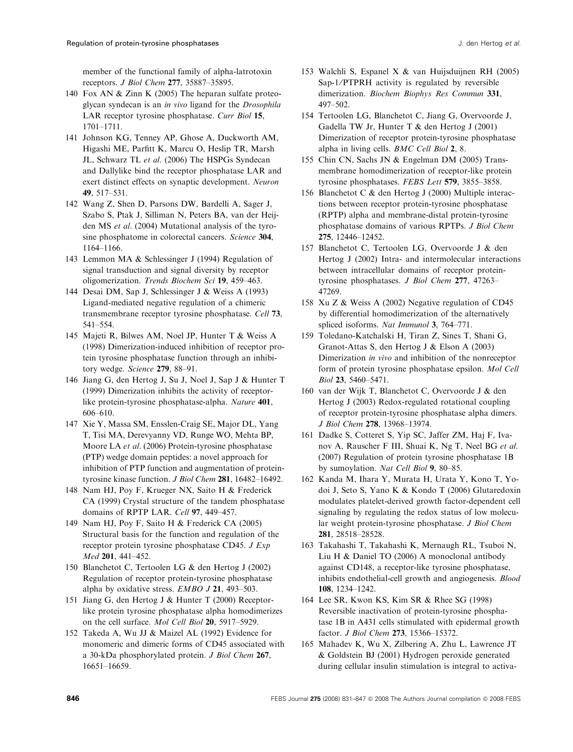member of the functional family of alpha-latrotoxin receptors. J Biol Chem 277, 35887–35895.

- 140 Fox AN & Zinn K (2005) The heparan sulfate proteoglycan syndecan is an in vivo ligand for the Drosophila LAR receptor tyrosine phosphatase. Curr Biol 15, 1701–1711.
- 141 Johnson KG, Tenney AP, Ghose A, Duckworth AM, Higashi ME, Parfitt K, Marcu O, Heslip TR, Marsh JL, Schwarz TL et al. (2006) The HSPGs Syndecan and Dallylike bind the receptor phosphatase LAR and exert distinct effects on synaptic development. Neuron 49, 517–531.
- 142 Wang Z, Shen D, Parsons DW, Bardelli A, Sager J, Szabo S, Ptak J, Silliman N, Peters BA, van der Heijden MS et al. (2004) Mutational analysis of the tyrosine phosphatome in colorectal cancers. Science 304, 1164–1166.
- 143 Lemmon MA & Schlessinger J (1994) Regulation of signal transduction and signal diversity by receptor oligomerization. Trends Biochem Sci 19, 459–463.
- 144 Desai DM, Sap J, Schlessinger J & Weiss A (1993) Ligand-mediated negative regulation of a chimeric transmembrane receptor tyrosine phosphatase. Cell 73, 541–554.
- 145 Majeti R, Bilwes AM, Noel JP, Hunter T & Weiss A (1998) Dimerization-induced inhibition of receptor protein tyrosine phosphatase function through an inhibitory wedge. Science 279, 88-91.
- 146 Jiang G, den Hertog J, Su J, Noel J, Sap J & Hunter T (1999) Dimerization inhibits the activity of receptorlike protein-tyrosine phosphatase-alpha. Nature 401, 606–610.
- 147 Xie Y, Massa SM, Ensslen-Craig SE, Major DL, Yang T, Tisi MA, Derevyanny VD, Runge WO, Mehta BP, Moore LA et al. (2006) Protein-tyrosine phosphatase (PTP) wedge domain peptides: a novel approach for inhibition of PTP function and augmentation of proteintyrosine kinase function. J Biol Chem 281, 16482–16492.
- 148 Nam HJ, Poy F, Krueger NX, Saito H & Frederick CA (1999) Crystal structure of the tandem phosphatase domains of RPTP LAR. Cell 97, 449-457.
- 149 Nam HJ, Poy F, Saito H & Frederick CA (2005) Structural basis for the function and regulation of the receptor protein tyrosine phosphatase CD45. J Exp Med 201, 441–452.
- 150 Blanchetot C, Tertoolen LG & den Hertog J (2002) Regulation of receptor protein-tyrosine phosphatase alpha by oxidative stress. EMBO J 21, 493–503.
- 151 Jiang G, den Hertog J & Hunter T (2000) Receptorlike protein tyrosine phosphatase alpha homodimerizes on the cell surface. Mol Cell Biol 20, 5917–5929.
- 152 Takeda A, Wu JJ & Maizel AL (1992) Evidence for monomeric and dimeric forms of CD45 associated with a 30-kDa phosphorylated protein. J Biol Chem 267, 16651–16659.
- 153 Walchli S, Espanel X & van Huijsduijnen RH (2005) Sap-1/PTPRH activity is regulated by reversible dimerization. Biochem Biophys Res Commun 331, 497–502.
- 154 Tertoolen LG, Blanchetot C, Jiang G, Overvoorde J, Gadella TW Jr, Hunter T & den Hertog J (2001) Dimerization of receptor protein-tyrosine phosphatase alpha in living cells. BMC Cell Biol 2, 8.
- 155 Chin CN, Sachs JN & Engelman DM (2005) Transmembrane homodimerization of receptor-like protein tyrosine phosphatases. FEBS Lett 579, 3855–3858.
- 156 Blanchetot C & den Hertog J (2000) Multiple interactions between receptor protein-tyrosine phosphatase (RPTP) alpha and membrane-distal protein-tyrosine phosphatase domains of various RPTPs. J Biol Chem 275, 12446–12452.
- 157 Blanchetot C, Tertoolen LG, Overvoorde J & den Hertog J (2002) Intra- and intermolecular interactions between intracellular domains of receptor proteintyrosine phosphatases. J Biol Chem 277, 47263– 47269.
- 158 Xu Z & Weiss A (2002) Negative regulation of CD45 by differential homodimerization of the alternatively spliced isoforms. Nat Immunol 3, 764–771.
- 159 Toledano-Katchalski H, Tiran Z, Sines T, Shani G, Granot-Attas S, den Hertog J & Elson A (2003) Dimerization in vivo and inhibition of the nonreceptor form of protein tyrosine phosphatase epsilon. Mol Cell Biol 23, 5460–5471.
- 160 van der Wijk T, Blanchetot C, Overvoorde J & den Hertog J (2003) Redox-regulated rotational coupling of receptor protein-tyrosine phosphatase alpha dimers. J Biol Chem 278, 13968–13974.
- 161 Dadke S, Cotteret S, Yip SC, Jaffer ZM, Haj F, Ivanov A, Rauscher F III, Shuai K, Ng T, Neel BG et al. (2007) Regulation of protein tyrosine phosphatase 1B by sumoylation. Nat Cell Biol 9, 80–85.
- 162 Kanda M, Ihara Y, Murata H, Urata Y, Kono T, Yodoi J, Seto S, Yano K & Kondo T (2006) Glutaredoxin modulates platelet-derived growth factor-dependent cell signaling by regulating the redox status of low molecular weight protein-tyrosine phosphatase. J Biol Chem 281, 28518–28528.
- 163 Takahashi T, Takahashi K, Mernaugh RL, Tsuboi N, Liu H & Daniel TO (2006) A monoclonal antibody against CD148, a receptor-like tyrosine phosphatase, inhibits endothelial-cell growth and angiogenesis. Blood 108, 1234–1242.
- 164 Lee SR, Kwon KS, Kim SR & Rhee SG (1998) Reversible inactivation of protein-tyrosine phosphatase 1B in A431 cells stimulated with epidermal growth factor. J Biol Chem 273, 15366-15372.
- 165 Mahadev K, Wu X, Zilbering A, Zhu L, Lawrence JT & Goldstein BJ (2001) Hydrogen peroxide generated during cellular insulin stimulation is integral to activa-